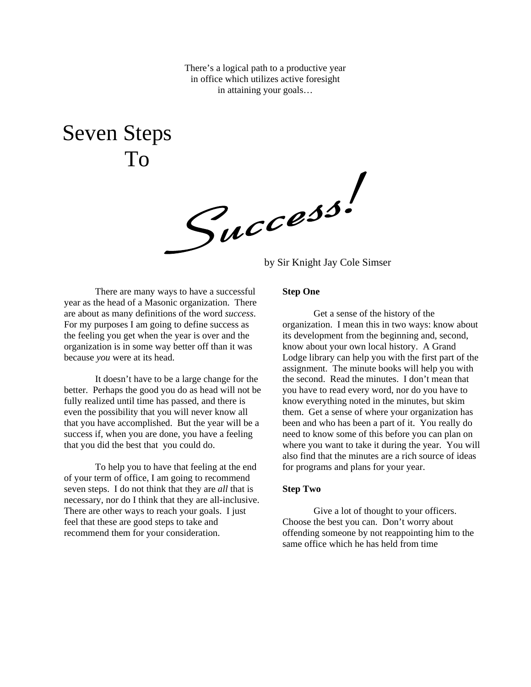There's a logical path to a productive year in office which utilizes active foresight in attaining your goals…

Seven Steps To

 $\mathcal{S}_{\mu}$ ccess.

There are many ways to have a successful year as the head of a Masonic organization. There are about as many definitions of the word *success*. For my purposes I am going to define success as the feeling you get when the year is over and the organization is in some way better off than it was because *you* were at its head.

 It doesn't have to be a large change for the better. Perhaps the good you do as head will not be fully realized until time has passed, and there is even the possibility that you will never know all that you have accomplished. But the year will be a success if, when you are done, you have a feeling that you did the best that you could do.

 To help you to have that feeling at the end of your term of office, I am going to recommend seven steps. I do not think that they are *all* that is necessary, nor do I think that they are all-inclusive. There are other ways to reach your goals. I just feel that these are good steps to take and recommend them for your consideration.

# **Step One**

Get a sense of the history of the organization. I mean this in two ways: know about its development from the beginning and, second, know about your own local history. A Grand Lodge library can help you with the first part of the assignment. The minute books will help you with the second. Read the minutes. I don't mean that you have to read every word, nor do you have to know everything noted in the minutes, but skim them. Get a sense of where your organization has been and who has been a part of it. You really do need to know some of this before you can plan on where you want to take it during the year. You will also find that the minutes are a rich source of ideas for programs and plans for your year.

#### **Step Two**

Give a lot of thought to your officers. Choose the best you can. Don't worry about offending someone by not reappointing him to the same office which he has held from time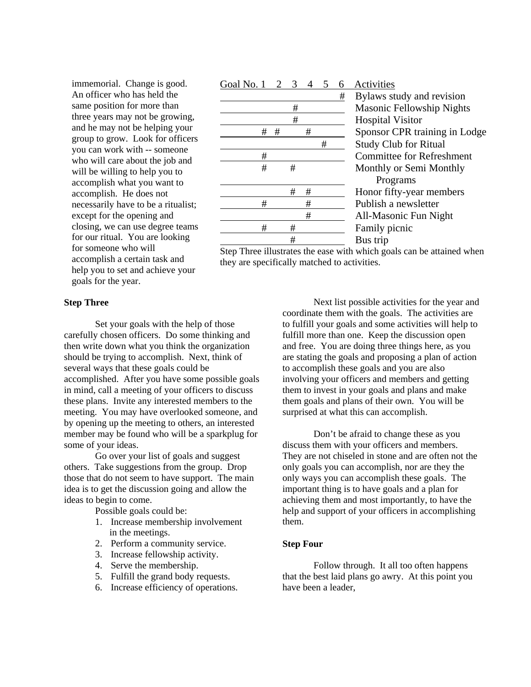immemorial. Change is good. An officer who has held the same position for more than three years may not be growing, and he may not be helping your group to grow. Look for officers you can work with -- someone who will care about the job and will be willing to help you to accomplish what you want to accomplish. He does not necessarily have to be a ritualist; except for the opening and closing, we can use degree teams for our ritual. You are looking for someone who will accomplish a certain task and help you to set and achieve your goals for the year.

# Goal No. 1 2 3 4 5 6 Activities # # Publish a newsletter # # Family picnic # Bus trip

 # Bylaws study and revision # Masonic Fellowship Nights # Hospital Visitor # # # Sponsor CPR training in Lodge # Study Club for Ritual # Committee for Refreshment # # Monthly or Semi Monthly Programs # # Honor fifty-year members # All-Masonic Fun Night

Step Three illustrates the ease with which goals can be attained when they are specifically matched to activities.

## **Step Three**

Set your goals with the help of those carefully chosen officers. Do some thinking and then write down what you think the organization should be trying to accomplish. Next, think of several ways that these goals could be accomplished. After you have some possible goals in mind, call a meeting of your officers to discuss these plans. Invite any interested members to the meeting. You may have overlooked someone, and by opening up the meeting to others, an interested member may be found who will be a sparkplug for some of your ideas.

 Go over your list of goals and suggest others. Take suggestions from the group. Drop those that do not seem to have support. The main idea is to get the discussion going and allow the ideas to begin to come.

Possible goals could be:

- 1. Increase membership involvement in the meetings.
- 2. Perform a community service.
- 3. Increase fellowship activity.
- 4. Serve the membership.
- 5. Fulfill the grand body requests.
- 6. Increase efficiency of operations.

Next list possible activities for the year and coordinate them with the goals. The activities are to fulfill your goals and some activities will help to fulfill more than one. Keep the discussion open and free. You are doing three things here, as you are stating the goals and proposing a plan of action to accomplish these goals and you are also involving your officers and members and getting them to invest in your goals and plans and make them goals and plans of their own. You will be surprised at what this can accomplish.

 Don't be afraid to change these as you discuss them with your officers and members. They are not chiseled in stone and are often not the only goals you can accomplish, nor are they the only ways you can accomplish these goals. The important thing is to have goals and a plan for achieving them and most importantly, to have the help and support of your officers in accomplishing them.

# **Step Four**

Follow through. It all too often happens that the best laid plans go awry. At this point you have been a leader,